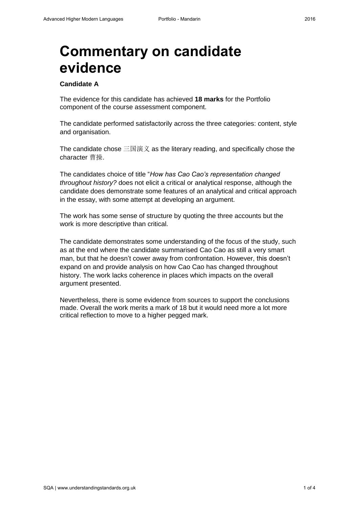# **Commentary on candidate evidence**

## **Candidate A**

The evidence for this candidate has achieved **18 marks** for the Portfolio component of the course assessment component.

The candidate performed satisfactorily across the three categories: content, style and organisation.

The candidate chose 三国演义 as the literary reading, and specifically chose the character 曹操.

The candidates choice of title "*How has Cao Cao's representation changed throughout history?* does not elicit a critical or analytical response, although the candidate does demonstrate some features of an analytical and critical approach in the essay, with some attempt at developing an argument.

The work has some sense of structure by quoting the three accounts but the work is more descriptive than critical.

The candidate demonstrates some understanding of the focus of the study, such as at the end where the candidate summarised Cao Cao as still a very smart man, but that he doesn't cower away from confrontation. However, this doesn't expand on and provide analysis on how Cao Cao has changed throughout history. The work lacks coherence in places which impacts on the overall argument presented.

Nevertheless, there is some evidence from sources to support the conclusions made. Overall the work merits a mark of 18 but it would need more a lot more critical reflection to move to a higher pegged mark.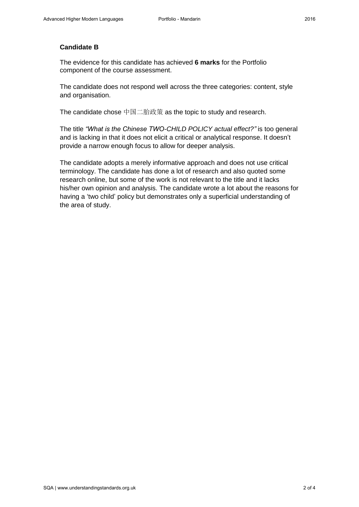## **Candidate B**

The evidence for this candidate has achieved **6 marks** for the Portfolio component of the course assessment.

The candidate does not respond well across the three categories: content, style and organisation.

The candidate chose 中国二胎政策 as the topic to study and research.

The title *"What is the Chinese TWO-CHILD POLICY actual effect?"* is too general and is lacking in that it does not elicit a critical or analytical response. It doesn't provide a narrow enough focus to allow for deeper analysis.

The candidate adopts a merely informative approach and does not use critical terminology. The candidate has done a lot of research and also quoted some research online, but some of the work is not relevant to the title and it lacks his/her own opinion and analysis. The candidate wrote a lot about the reasons for having a 'two child' policy but demonstrates only a superficial understanding of the area of study.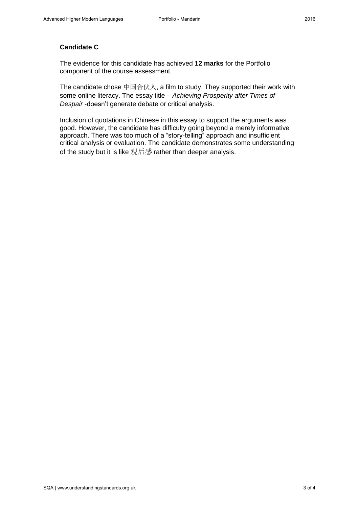## **Candidate C**

The evidence for this candidate has achieved **12 marks** for the Portfolio component of the course assessment.

The candidate chose 中国合伙人, a film to study. They supported their work with some online literacy. The essay title – *Achieving Prosperity after Times of Despair* -doesn't generate debate or critical analysis.

Inclusion of quotations in Chinese in this essay to support the arguments was good. However, the candidate has difficulty going beyond a merely informative approach. There was too much of a "story-telling" approach and insufficient critical analysis or evaluation. The candidate demonstrates some understanding of the study but it is like 观后感 rather than deeper analysis.